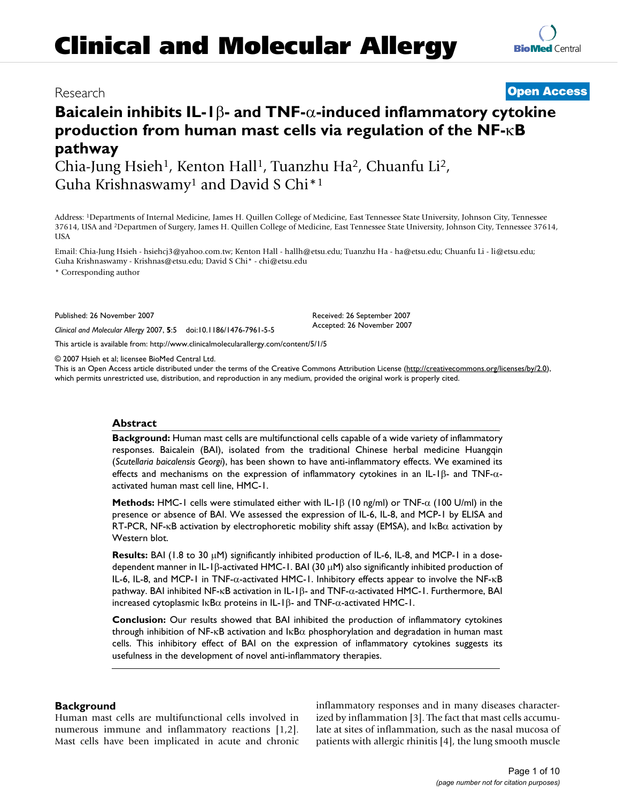# **Baicalein inhibits IL-1β- and TNF-**α-induced inflammatory cytokine **production from human mast cells via regulation of the NF-** $K$ **B pathway**

Chia-Jung Hsieh<sup>1</sup>, Kenton Hall<sup>1</sup>, Tuanzhu Ha<sup>2</sup>, Chuanfu Li<sup>2</sup>, Guha Krishnaswamy1 and David S Chi\*1

Address: 1Departments of Internal Medicine, James H. Quillen College of Medicine, East Tennessee State University, Johnson City, Tennessee 37614, USA and 2Departmen of Surgery, James H. Quillen College of Medicine, East Tennessee State University, Johnson City, Tennessee 37614, USA

Email: Chia-Jung Hsieh - hsiehcj3@yahoo.com.tw; Kenton Hall - hallh@etsu.edu; Tuanzhu Ha - ha@etsu.edu; Chuanfu Li - li@etsu.edu; Guha Krishnaswamy - Krishnas@etsu.edu; David S Chi\* - chi@etsu.edu

\* Corresponding author

Published: 26 November 2007

*Clinical and Molecular Allergy* 2007, **5**:5 doi:10.1186/1476-7961-5-5

This article is available from: http://www.clinicalmolecularallergy.com/content/5/1/5

© 2007 Hsieh et al; licensee BioMed Central Ltd.

This is an Open Access article distributed under the terms of the Creative Commons Attribution License (http://creativecommons.org/licenses/by/2.0), which permits unrestricted use, distribution, and reproduction in any medium, provided the original work is properly cited.

Received: 26 September 2007 Accepted: 26 November 2007

# **Abstract**

**Background:** Human mast cells are multifunctional cells capable of a wide variety of inflammatory responses. Baicalein (BAI), isolated from the traditional Chinese herbal medicine Huangqin (*Scutellaria baicalensis Georgi*), has been shown to have anti-inflammatory effects. We examined its effects and mechanisms on the expression of inflammatory cytokines in an IL-1 $\beta$ - and TNF- $\alpha$ activated human mast cell line, HMC-1.

**Methods:** HMC-1 cells were stimulated either with IL-1 $\beta$  (10 ng/ml) or TNF- $\alpha$  (100 U/ml) in the presence or absence of BAI. We assessed the expression of IL-6, IL-8, and MCP-1 by ELISA and RT-PCR, NF-KB activation by electrophoretic mobility shift assay (EMSA), and IKB $\alpha$  activation by Western blot.

Results: BAI (1.8 to 30  $\mu$ M) significantly inhibited production of IL-6, IL-8, and MCP-1 in a dosedependent manner in IL-1 $\beta$ -activated HMC-1. BAI (30  $\mu$ M) also significantly inhibited production of IL-6, IL-8, and MCP-1 in TNF- $\alpha$ -activated HMC-1. Inhibitory effects appear to involve the NF- $\kappa$ B pathway. BAI inhibited NF-KB activation in IL-1 $\beta$ - and TNF- $\alpha$ -activated HMC-1. Furthermore, BAI increased cytoplasmic  $I \kappa B\alpha$  proteins in IL-1 $\beta$ - and TNF- $\alpha$ -activated HMC-1.

**Conclusion:** Our results showed that BAI inhibited the production of inflammatory cytokines through inhibition of NF-KB activation and  $I\kappa B\alpha$  phosphorylation and degradation in human mast cells. This inhibitory effect of BAI on the expression of inflammatory cytokines suggests its usefulness in the development of novel anti-inflammatory therapies.

# **Background**

Human mast cells are multifunctional cells involved in numerous immune and inflammatory reactions [1,2]. Mast cells have been implicated in acute and chronic inflammatory responses and in many diseases characterized by inflammation [3]. The fact that mast cells accumulate at sites of inflammation, such as the nasal mucosa of patients with allergic rhinitis [4], the lung smooth muscle



# Research **Open Access**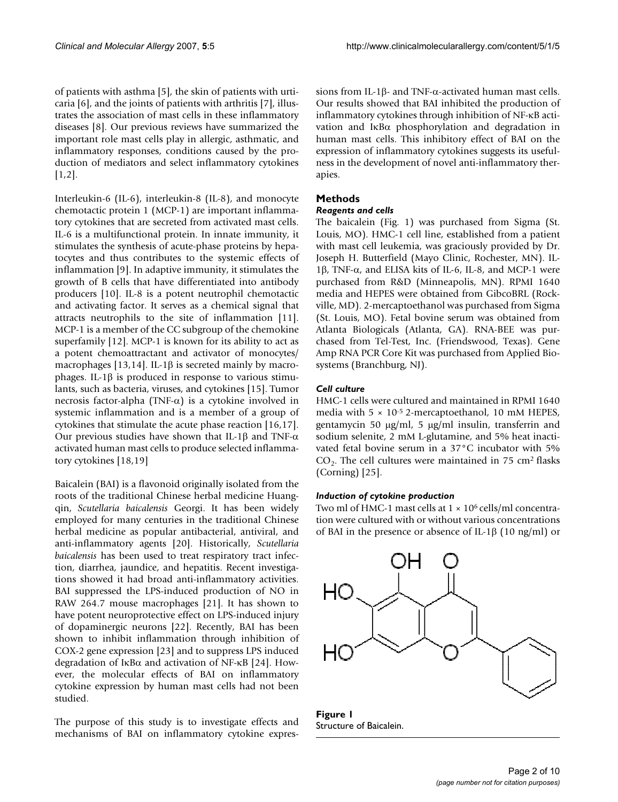of patients with asthma [5], the skin of patients with urticaria [6], and the joints of patients with arthritis [7], illustrates the association of mast cells in these inflammatory diseases [8]. Our previous reviews have summarized the important role mast cells play in allergic, asthmatic, and inflammatory responses, conditions caused by the production of mediators and select inflammatory cytokines [1,2].

Interleukin-6 (IL-6), interleukin-8 (IL-8), and monocyte chemotactic protein 1 (MCP-1) are important inflammatory cytokines that are secreted from activated mast cells. IL-6 is a multifunctional protein. In innate immunity, it stimulates the synthesis of acute-phase proteins by hepatocytes and thus contributes to the systemic effects of inflammation [9]. In adaptive immunity, it stimulates the growth of B cells that have differentiated into antibody producers [10]. IL-8 is a potent neutrophil chemotactic and activating factor. It serves as a chemical signal that attracts neutrophils to the site of inflammation [11]. MCP-1 is a member of the CC subgroup of the chemokine superfamily [12]. MCP-1 is known for its ability to act as a potent chemoattractant and activator of monocytes/ macrophages [13,14]. IL-1 $\beta$  is secreted mainly by macrophages. IL-1 $\beta$  is produced in response to various stimulants, such as bacteria, viruses, and cytokines [15]. Tumor necrosis factor-alpha (TNF- $\alpha$ ) is a cytokine involved in systemic inflammation and is a member of a group of cytokines that stimulate the acute phase reaction [16,17]. Our previous studies have shown that IL-1 $\beta$  and TNF- $\alpha$ activated human mast cells to produce selected inflammatory cytokines [18,19]

Baicalein (BAI) is a flavonoid originally isolated from the roots of the traditional Chinese herbal medicine Huangqin, *Scutellaria baicalensis* Georgi. It has been widely employed for many centuries in the traditional Chinese herbal medicine as popular antibacterial, antiviral, and anti-inflammatory agents [20]. Historically, *Scutellaria baicalensis* has been used to treat respiratory tract infection, diarrhea, jaundice, and hepatitis. Recent investigations showed it had broad anti-inflammatory activities. BAI suppressed the LPS-induced production of NO in RAW 264.7 mouse macrophages [21]. It has shown to have potent neuroprotective effect on LPS-induced injury of dopaminergic neurons [22]. Recently, BAI has been shown to inhibit inflammation through inhibition of COX-2 gene expression [23] and to suppress LPS induced degradation of  $I\kappa B\alpha$  and activation of NF- $\kappa B$  [24]. However, the molecular effects of BAI on inflammatory cytokine expression by human mast cells had not been studied.

The purpose of this study is to investigate effects and mechanisms of BAI on inflammatory cytokine expressions from IL-1 $\beta$ - and TNF- $\alpha$ -activated human mast cells. Our results showed that BAI inhibited the production of inflammatory cytokines through inhibition of NF-KB activation and  $I\kappa B\alpha$  phosphorylation and degradation in human mast cells. This inhibitory effect of BAI on the expression of inflammatory cytokines suggests its usefulness in the development of novel anti-inflammatory therapies.

# **Methods**

# *Reagents and cells*

The baicalein (Fig. 1) was purchased from Sigma (St. Louis, MO). HMC-1 cell line, established from a patient with mast cell leukemia, was graciously provided by Dr. Joseph H. Butterfield (Mayo Clinic, Rochester, MN). IL- $1\beta$ , TNF- $\alpha$ , and ELISA kits of IL-6, IL-8, and MCP-1 were purchased from R&D (Minneapolis, MN). RPMI 1640 media and HEPES were obtained from GibcoBRL (Rockville, MD). 2-mercaptoethanol was purchased from Sigma (St. Louis, MO). Fetal bovine serum was obtained from Atlanta Biologicals (Atlanta, GA). RNA-BEE was purchased from Tel-Test, Inc. (Friendswood, Texas). Gene Amp RNA PCR Core Kit was purchased from Applied Biosystems (Branchburg, NJ).

# *Cell culture*

HMC-1 cells were cultured and maintained in RPMI 1640 media with 5 × 10-5 2-mercaptoethanol, 10 mM HEPES, gentamycin 50  $\mu$ g/ml, 5  $\mu$ g/ml insulin, transferrin and sodium selenite, 2 mM L-glutamine, and 5% heat inactivated fetal bovine serum in a 37°C incubator with 5%  $CO<sub>2</sub>$ . The cell cultures were maintained in 75 cm<sup>2</sup> flasks (Corning) [25].

# *Induction of cytokine production*

Two ml of HMC-1 mast cells at  $1 \times 10^6$  cells/ml concentration were cultured with or without various concentrations of BAI in the presence or absence of IL-1 $\beta$  (10 ng/ml) or



**Figure 1** Structure of Baicalein.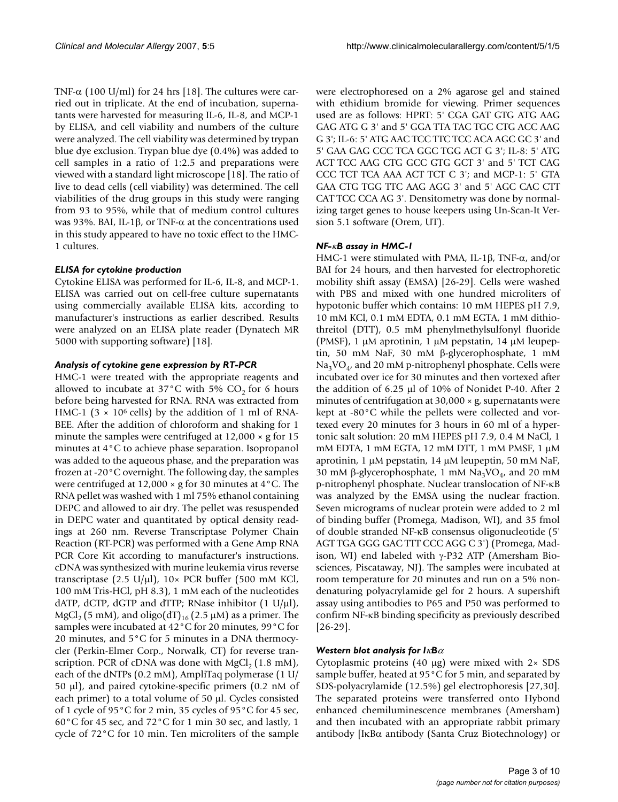TNF- $\alpha$  (100 U/ml) for 24 hrs [18]. The cultures were carried out in triplicate. At the end of incubation, supernatants were harvested for measuring IL-6, IL-8, and MCP-1 by ELISA, and cell viability and numbers of the culture were analyzed. The cell viability was determined by trypan blue dye exclusion. Trypan blue dye (0.4%) was added to cell samples in a ratio of 1:2.5 and preparations were viewed with a standard light microscope [18]. The ratio of live to dead cells (cell viability) was determined. The cell viabilities of the drug groups in this study were ranging from 93 to 95%, while that of medium control cultures was 93%. BAI, IL-1 $\beta$ , or TNF- $\alpha$  at the concentrations used in this study appeared to have no toxic effect to the HMC-1 cultures.

# *ELISA for cytokine production*

Cytokine ELISA was performed for IL-6, IL-8, and MCP-1. ELISA was carried out on cell-free culture supernatants using commercially available ELISA kits, according to manufacturer's instructions as earlier described. Results were analyzed on an ELISA plate reader (Dynatech MR 5000 with supporting software) [18].

# *Analysis of cytokine gene expression by RT-PCR*

HMC-1 were treated with the appropriate reagents and allowed to incubate at 37°C with 5%  $CO<sub>2</sub>$  for 6 hours before being harvested for RNA. RNA was extracted from HMC-1 (3  $\times$  10<sup>6</sup> cells) by the addition of 1 ml of RNA-BEE. After the addition of chloroform and shaking for 1 minute the samples were centrifuged at  $12,000 \times g$  for  $15$ minutes at 4°C to achieve phase separation. Isopropanol was added to the aqueous phase, and the preparation was frozen at -20°C overnight. The following day, the samples were centrifuged at 12,000 × g for 30 minutes at 4°C. The RNA pellet was washed with 1 ml 75% ethanol containing DEPC and allowed to air dry. The pellet was resuspended in DEPC water and quantitated by optical density readings at 260 nm. Reverse Transcriptase Polymer Chain Reaction (RT-PCR) was performed with a Gene Amp RNA PCR Core Kit according to manufacturer's instructions. cDNA was synthesized with murine leukemia virus reverse transcriptase (2.5 U/ $\mu$ l), 10× PCR buffer (500 mM KCl, 100 mM Tris-HCl, pH 8.3), 1 mM each of the nucleotides dATP, dCTP, dGTP and dTTP; RNase inhibitor  $(1 \text{ U/}\mu\text{I})$ , MgCl<sub>2</sub> (5 mM), and oligo(dT)<sub>16</sub> (2.5  $\mu$ M) as a primer. The samples were incubated at 42°C for 20 minutes, 99°C for 20 minutes, and 5°C for 5 minutes in a DNA thermocycler (Perkin-Elmer Corp., Norwalk, CT) for reverse transcription. PCR of cDNA was done with  $MgCl<sub>2</sub> (1.8 mM)$ , each of the dNTPs (0.2 mM), AmpliTaq polymerase (1 U/ 50  $\mu$ l), and paired cytokine-specific primers (0.2 nM of each primer) to a total volume of 50  $\mu$ l. Cycles consisted of 1 cycle of 95°C for 2 min, 35 cycles of 95°C for 45 sec, 60°C for 45 sec, and 72°C for 1 min 30 sec, and lastly, 1 cycle of 72°C for 10 min. Ten microliters of the sample were electrophoresed on a 2% agarose gel and stained with ethidium bromide for viewing. Primer sequences used are as follows: HPRT: 5' CGA GAT GTG ATG AAG GAG ATG G 3' and 5' GGA TTA TAC TGC CTG ACC AAG G 3'; IL-6: 5' ATG AAC TCC TTC TCC ACA AGC GC 3' and 5' GAA GAG CCC TCA GGC TGG ACT G 3'; IL-8: 5' ATG ACT TCC AAG CTG GCC GTG GCT 3' and 5' TCT CAG CCC TCT TCA AAA ACT TCT C 3'; and MCP-1: 5' GTA GAA CTG TGG TTC AAG AGG 3' and 5' AGC CAC CTT CAT TCC CCA AG 3'. Densitometry was done by normalizing target genes to house keepers using Un-Scan-It Version 5.1 software (Orem, UT).

# *NF-*N*B assay in HMC-1*

HMC-1 were stimulated with PMA, IL-1 $\beta$ , TNF- $\alpha$ , and/or BAI for 24 hours, and then harvested for electrophoretic mobility shift assay (EMSA) [26-29]. Cells were washed with PBS and mixed with one hundred microliters of hypotonic buffer which contains: 10 mM HEPES pH 7.9, 10 mM KCl, 0.1 mM EDTA, 0.1 mM EGTA, 1 mM dithiothreitol (DTT), 0.5 mM phenylmethylsulfonyl fluoride (PMSF), 1  $\mu$ M aprotinin, 1  $\mu$ M pepstatin, 14  $\mu$ M leupeptin, 50 mM NaF, 30 mM  $\beta$ -glycerophosphate, 1 mM  $Na<sub>3</sub>VO<sub>4</sub>$ , and 20 mM p-nitrophenyl phosphate. Cells were incubated over ice for 30 minutes and then vortexed after the addition of 6.25  $\mu$ l of 10% of Nonidet P-40. After 2 minutes of centrifugation at 30,000 × g, supernatants were kept at -80°C while the pellets were collected and vortexed every 20 minutes for 3 hours in 60 ml of a hypertonic salt solution: 20 mM HEPES pH 7.9, 0.4 M NaCl, 1 mM EDTA, 1 mM EGTA, 12 mM DTT, 1 mM PMSF, 1  $\mu$ M aprotinin, 1 µM pepstatin, 14 µM leupeptin, 50 mM NaF, 30 mM β-glycerophosphate, 1 mM  $\text{Na}_3\text{VO}_4$ , and 20 mM p-nitrophenyl phosphate. Nuclear translocation of NF-NB was analyzed by the EMSA using the nuclear fraction. Seven micrograms of nuclear protein were added to 2 ml of binding buffer (Promega, Madison, WI), and 35 fmol of double stranded NF-NB consensus oligonucleotide (5' AGT TGA GGG GAC TTT CCC AGG C 3') (Promega, Madison, WI) end labeled with  $\gamma$ -P32 ATP (Amersham Biosciences, Piscataway, NJ). The samples were incubated at room temperature for 20 minutes and run on a 5% nondenaturing polyacrylamide gel for 2 hours. A supershift assay using antibodies to P65 and P50 was performed to confirm NF-KB binding specificity as previously described [26-29].

# *Western blot analysis for*  $I_K$ *B* $\alpha$

Cytoplasmic proteins (40  $\mu$ g) were mixed with 2 $\times$  SDS sample buffer, heated at 95 °C for 5 min, and separated by SDS-polyacrylamide (12.5%) gel electrophoresis [27,30]. The separated proteins were transferred onto Hybond enhanced chemiluminescence membranes (Amersham) and then incubated with an appropriate rabbit primary antibody [I $\kappa$ B $\alpha$  antibody (Santa Cruz Biotechnology) or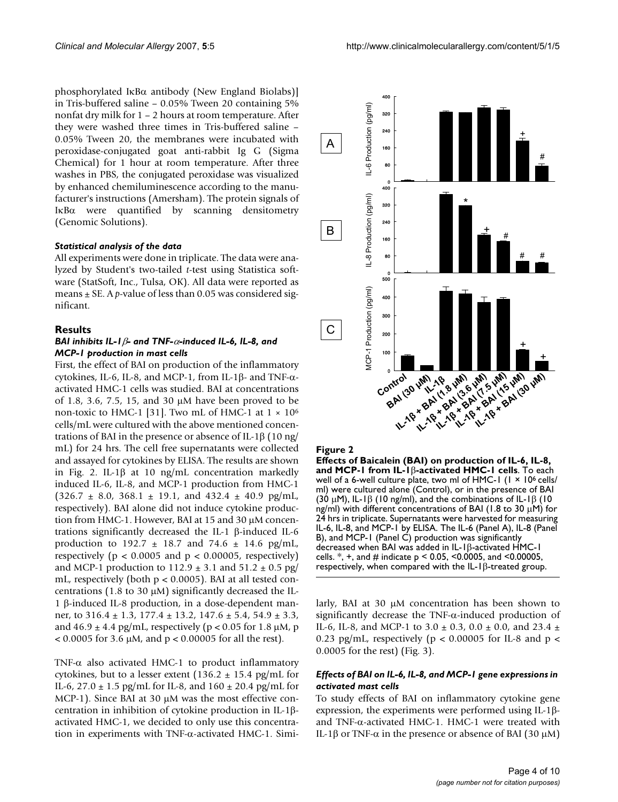phosphorylated IKB $\alpha$  antibody (New England Biolabs)] in Tris-buffered saline – 0.05% Tween 20 containing 5% nonfat dry milk for 1 – 2 hours at room temperature. After they were washed three times in Tris-buffered saline – 0.05% Tween 20, the membranes were incubated with peroxidase-conjugated goat anti-rabbit Ig G (Sigma Chemical) for 1 hour at room temperature. After three washes in PBS, the conjugated peroxidase was visualized by enhanced chemiluminescence according to the manufacturer's instructions (Amersham). The protein signals of  $I$ <sub>K</sub>B $\alpha$  were quantified by scanning densitometry (Genomic Solutions).

### *Statistical analysis of the data*

All experiments were done in triplicate. The data were analyzed by Student's two-tailed *t*-test using Statistica software (StatSoft, Inc., Tulsa, OK). All data were reported as means  $\pm$  SE. A *p*-value of less than 0.05 was considered significant.

### **Results**

### *BAI inhibits IL-1 β- and TNF-* $\alpha$ -induced IL-6, IL-8, and *MCP-1 production in mast cells*

First, the effect of BAI on production of the inflammatory cytokines, IL-6, IL-8, and MCP-1, from IL-1 $\beta$ - and TNF- $\alpha$ activated HMC-1 cells was studied. BAI at concentrations of 1.8, 3.6, 7.5, 15, and 30  $\mu$ M have been proved to be non-toxic to HMC-1 [31]. Two mL of HMC-1 at  $1 \times 10^6$ cells/mL were cultured with the above mentioned concentrations of BAI in the presence or absence of IL-1 $\beta$  (10 ng/ mL) for 24 hrs. The cell free supernatants were collected and assayed for cytokines by ELISA. The results are shown in Fig. 2. IL-1 $\beta$  at 10 ng/mL concentration markedly induced IL-6, IL-8, and MCP-1 production from HMC-1  $(326.7 \pm 8.0, 368.1 \pm 19.1, \text{ and } 432.4 \pm 40.9 \text{ pg/mL}$ respectively). BAI alone did not induce cytokine production from HMC-1. However, BAI at 15 and 30  $\mu$ M concentrations significantly decreased the IL-1  $\beta$ -induced IL-6 production to 192.7  $\pm$  18.7 and 74.6  $\pm$  14.6 pg/mL, respectively ( $p < 0.0005$  and  $p < 0.00005$ , respectively) and MCP-1 production to  $112.9 \pm 3.1$  and  $51.2 \pm 0.5$  pg/ mL, respectively (both  $p < 0.0005$ ). BAI at all tested concentrations (1.8 to 30  $\mu$ M) significantly decreased the IL-1  $\beta$ -induced IL-8 production, in a dose-dependent manner, to 316.4 ± 1.3, 177.4 ± 13.2, 147.6 ± 5.4, 54.9 ± 3.3, and  $46.9 \pm 4.4$  pg/mL, respectively (p < 0.05 for 1.8  $\mu$ M, p  $< 0.0005$  for 3.6  $\mu$ M, and p  $< 0.00005$  for all the rest).

TNF- $\alpha$  also activated HMC-1 to product inflammatory cytokines, but to a lesser extent  $(136.2 \pm 15.4 \text{ pg/mL}$  for IL-6, 27.0  $\pm$  1.5 pg/mL for IL-8, and 160  $\pm$  20.4 pg/mL for  $MCP-1$ ). Since BAI at 30  $\mu$ M was the most effective concentration in inhibition of cytokine production in IL-1Eactivated HMC-1, we decided to only use this concentration in experiments with  $TNF-\alpha$ -activated HMC-1. Simi-



#### Figure 2

**Effects of Baicalein (BAI) on production of IL-6, IL-8, and MCP-1 from IL-1** $\beta$ -activated HMC-1 cells. To each well of a 6-well culture plate, two ml of HMC-1  $(1 \times 10^6 \text{ cells})$ ml) were cultured alone (Control), or in the presence of BAI (30  $\mu$ M), IL-1 $\beta$  (10 ng/ml), and the combinations of IL-1 $\beta$  (10 ng/ml) with different concentrations of BAI (1.8 to 30  $\mu$ M) for 24 hrs in triplicate. Supernatants were harvested for measuring IL-6, IL-8, and MCP-1 by ELISA. The IL-6 (Panel A), IL-8 (Panel B), and MCP-1 (Panel C) production was significantly decreased when BAI was added in  $IL-I\beta$ -activated HMC-1 cells.  $*$ ,  $*$ , and  $#$  indicate  $p < 0.05$ , <0.0005, and <0.00005, respectively, when compared with the  $|L-l|$ <sup>3</sup>-treated group.

larly, BAI at 30  $\mu$ M concentration has been shown to significantly decrease the  $TNF-\alpha$ -induced production of IL-6, IL-8, and MCP-1 to 3.0  $\pm$  0.3, 0.0  $\pm$  0.0, and 23.4  $\pm$ 0.23 pg/mL, respectively ( $p < 0.00005$  for IL-8 and  $p <$ 0.0005 for the rest) (Fig. 3).

# *Effects of BAI on IL-6, IL-8, and MCP-1 gene expressions in activated mast cells*

To study effects of BAI on inflammatory cytokine gene expression, the experiments were performed using IL-1 $\beta$ and TNF- $\alpha$ -activated HMC-1. HMC-1 were treated with IL-1β or TNF- $\alpha$  in the presence or absence of BAI (30  $\mu$ M)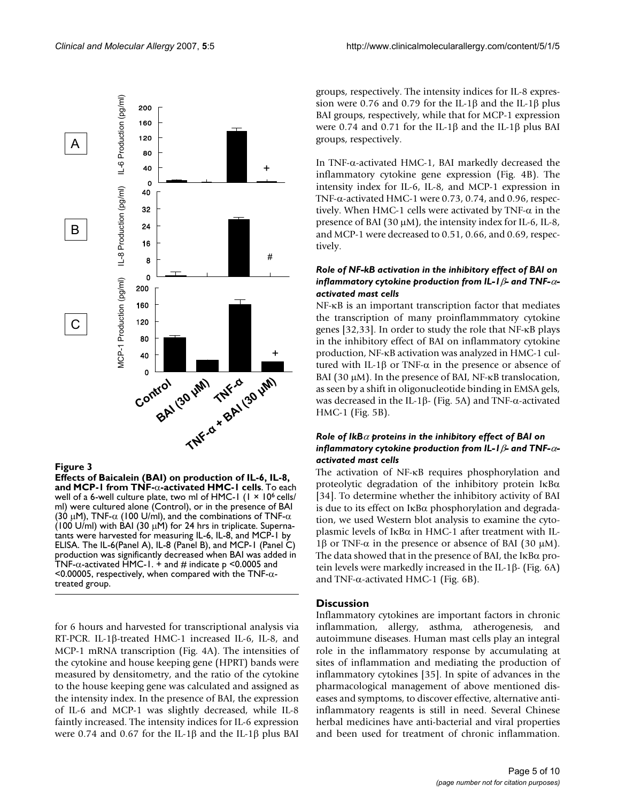

#### **Figure 3**

**Effects of Baicalein (BAI) on production of IL-6, IL-8, and MCP-1 from TNF-**α-activated HMC-1 cells. To each well of a 6-well culture plate, two ml of HMC-1  $(1 \times 10^6 \text{ cells})$ ml) were cultured alone (Control), or in the presence of BAI (30  $\mu$ M), TNF- $\alpha$  (100 U/ml), and the combinations of TNF- $\alpha$ (100 U/ml) with BAI (30  $\mu$ M) for 24 hrs in triplicate. Supernatants were harvested for measuring IL-6, IL-8, and MCP-1 by ELISA. The IL-6(Panel A), IL-8 (Panel B), and MCP-1 (Panel C) production was significantly decreased when BAI was added in TNF- $\alpha$ -activated HMC-1.  $+$  and # indicate p <0.0005 and <0.00005, respectively, when compared with the TNF- $\alpha$ treated group.

for 6 hours and harvested for transcriptional analysis via RT-PCR. IL-1 $\beta$ -treated HMC-1 increased IL-6, IL-8, and MCP-1 mRNA transcription (Fig. 4A). The intensities of the cytokine and house keeping gene (HPRT) bands were measured by densitometry, and the ratio of the cytokine to the house keeping gene was calculated and assigned as the intensity index. In the presence of BAI, the expression of IL-6 and MCP-1 was slightly decreased, while IL-8 faintly increased. The intensity indices for IL-6 expression were 0.74 and 0.67 for the IL-1 $\beta$  and the IL-1 $\beta$  plus BAI

groups, respectively. The intensity indices for IL-8 expression were 0.76 and 0.79 for the IL-1 $\beta$  and the IL-1 $\beta$  plus BAI groups, respectively, while that for MCP-1 expression were 0.74 and 0.71 for the IL-1 $\beta$  and the IL-1 $\beta$  plus BAI groups, respectively.

In TNF- $\alpha$ -activated HMC-1, BAI markedly decreased the inflammatory cytokine gene expression (Fig. 4B). The intensity index for IL-6, IL-8, and MCP-1 expression in TNF- $\alpha$ -activated HMC-1 were 0.73, 0.74, and 0.96, respectively. When HMC-1 cells were activated by TNF- $\alpha$  in the presence of BAI (30  $\mu$ M), the intensity index for IL-6, IL-8, and MCP-1 were decreased to 0.51, 0.66, and 0.69, respectively.

# *Role of NF-kB activation in the inhibitory effect of BAI on inflammatory cytokine production from IL-I*  $\beta$ *- and TNF-* $\alpha$ *activated mast cells*

NF- $\kappa$ B is an important transcription factor that mediates the transcription of many proinflammmatory cytokine genes [32,33]. In order to study the role that NF-KB plays in the inhibitory effect of BAI on inflammatory cytokine production, NF-KB activation was analyzed in HMC-1 cultured with IL-1 $\beta$  or TNF- $\alpha$  in the presence or absence of BAI (30  $\mu$ M). In the presence of BAI, NF- $\kappa$ B translocation, as seen by a shift in oligonucleotide binding in EMSA gels, was decreased in the IL-1 $\beta$ - (Fig. 5A) and TNF- $\alpha$ -activated HMC-1 (Fig. 5B).

### *Role of IkB* $\alpha$  *proteins in the inhibitory effect of BAI on* inflammatory cytokine production from IL-1 $\beta$ - and TNF- $\alpha$ *activated mast cells*

The activation of NF-KB requires phosphorylation and proteolytic degradation of the inhibitory protein  $I\kappa B\alpha$ [34]. To determine whether the inhibitory activity of BAI is due to its effect on  $I \kappa B\alpha$  phosphorylation and degradation, we used Western blot analysis to examine the cytoplasmic levels of  $I\kappa B\alpha$  in HMC-1 after treatment with IL-1 $\beta$  or TNF- $\alpha$  in the presence or absence of BAI (30  $\mu$ M). The data showed that in the presence of BAI, the  $I \kappa B\alpha$  protein levels were markedly increased in the IL-1 $\beta$ - (Fig. 6A) and TNF- $\alpha$ -activated HMC-1 (Fig. 6B).

#### **Discussion**

Inflammatory cytokines are important factors in chronic inflammation, allergy, asthma, atherogenesis, and autoimmune diseases. Human mast cells play an integral role in the inflammatory response by accumulating at sites of inflammation and mediating the production of inflammatory cytokines [35]. In spite of advances in the pharmacological management of above mentioned diseases and symptoms, to discover effective, alternative antiinflammatory reagents is still in need. Several Chinese herbal medicines have anti-bacterial and viral properties and been used for treatment of chronic inflammation.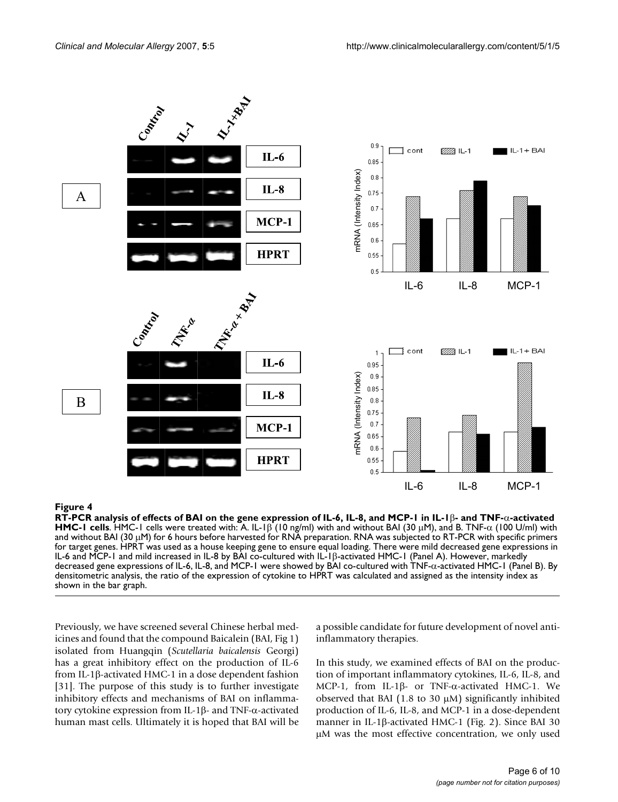

# RT-PCR analysis of effects of BAI on the gene expression of IL-6, IL-8, and MCP-1 in IL-1 **Figure 4** E- and TNF-D-activated HMC-1 cells

**RT-PCR analysis of effects of BAI on the gene expression of IL-6, IL-8, and MCP-1 in IL-1**E**- and TNF-**D**-activated HMC-1 cells**. HMC-1 cells were treated with: A. IL-1 $\beta$  (10 ng/ml) with and without BAI (30  $\mu$ M), and B. TNF- $\alpha$  (100 U/ml) with and without BAI (30  $\mu$ M) for 6 hours before harvested for RNA preparation. RNA was subjected to RT-PCR with specific primers for target genes. HPRT was used as a house keeping gene to ensure equal loading. There were mild decreased gene expressions in IL-6 and MCP-1 and mild increased in IL-8 by BAI co-cultured with IL-1ß-activated HMC-1 (Panel A). However, markedly decreased gene expressions of IL-6, IL-8, and MCP-1 were showed by BAI co-cultured with TNF- $\alpha$ -activated HMC-1 (Panel B). By densitometric analysis, the ratio of the expression of cytokine to HPRT was calculated and assigned as the intensity index as shown in the bar graph.

Previously, we have screened several Chinese herbal medicines and found that the compound Baicalein (BAI, Fig 1) isolated from Huangqin (*Scutellaria baicalensis* Georgi) has a great inhibitory effect on the production of IL-6 from IL-1 $\beta$ -activated HMC-1 in a dose dependent fashion [31]. The purpose of this study is to further investigate inhibitory effects and mechanisms of BAI on inflammatory cytokine expression from IL-1 $\beta$ - and TNF- $\alpha$ -activated human mast cells. Ultimately it is hoped that BAI will be a possible candidate for future development of novel antiinflammatory therapies.

In this study, we examined effects of BAI on the production of important inflammatory cytokines, IL-6, IL-8, and MCP-1, from IL-1 $\beta$ - or TNF- $\alpha$ -activated HMC-1. We observed that BAI (1.8 to 30  $\mu$ M) significantly inhibited production of IL-6, IL-8, and MCP-1 in a dose-dependent manner in IL-1 $\beta$ -activated HMC-1 (Fig. 2). Since BAI 30  $\mu$ M was the most effective concentration, we only used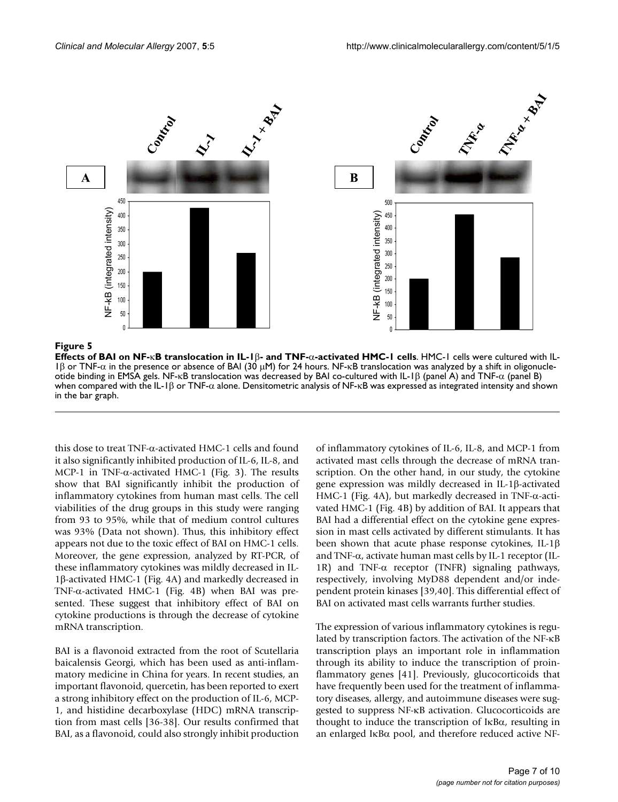

**Effects of BAI on NF-KB translocation in IL-1β- and TNF-α-activated HMC-1 cells. HMC-1 cells were cultured with IL-**1 $\beta$  or TNF- $\alpha$  in the presence or absence of BAI (30  $\mu$ M) for 24 hours. NF- $\kappa$ B translocation was analyzed by a shift in oligonucleotide binding in EMSA gels. NF- $kB$  translocation was decreased by BAI co-cultured with IL-1 $\beta$  (panel A) and TNF- $\alpha$  (panel B) when compared with the IL-1 $\beta$  or TNF- $\alpha$  alone. Densitometric analysis of NF- $\kappa$ B was expressed as integrated intensity and shown in the bar graph.

this dose to treat TNF- $\alpha$ -activated HMC-1 cells and found it also significantly inhibited production of IL-6, IL-8, and MCP-1 in TNF- $\alpha$ -activated HMC-1 (Fig. 3). The results show that BAI significantly inhibit the production of inflammatory cytokines from human mast cells. The cell viabilities of the drug groups in this study were ranging from 93 to 95%, while that of medium control cultures was 93% (Data not shown). Thus, this inhibitory effect appears not due to the toxic effect of BAI on HMC-1 cells. Moreover, the gene expression, analyzed by RT-PCR, of these inflammatory cytokines was mildly decreased in IL-1β-activated HMC-1 (Fig. 4A) and markedly decreased in TNF- $\alpha$ -activated HMC-1 (Fig. 4B) when BAI was presented. These suggest that inhibitory effect of BAI on cytokine productions is through the decrease of cytokine mRNA transcription.

BAI is a flavonoid extracted from the root of Scutellaria baicalensis Georgi, which has been used as anti-inflammatory medicine in China for years. In recent studies, an important flavonoid, quercetin, has been reported to exert a strong inhibitory effect on the production of IL-6, MCP-1, and histidine decarboxylase (HDC) mRNA transcription from mast cells [36-38]. Our results confirmed that BAI, as a flavonoid, could also strongly inhibit production

of inflammatory cytokines of IL-6, IL-8, and MCP-1 from activated mast cells through the decrease of mRNA transcription. On the other hand, in our study, the cytokine gene expression was mildly decreased in IL-1 $\beta$ -activated HMC-1 (Fig. 4A), but markedly decreased in TNF- $\alpha$ -activated HMC-1 (Fig. 4B) by addition of BAI. It appears that BAI had a differential effect on the cytokine gene expression in mast cells activated by different stimulants. It has been shown that acute phase response cytokines, IL-1 $\beta$ and TNF- $\alpha$ , activate human mast cells by IL-1 receptor (IL-1R) and TNF- $\alpha$  receptor (TNFR) signaling pathways, respectively, involving MyD88 dependent and/or independent protein kinases [39,40]. This differential effect of BAI on activated mast cells warrants further studies.

The expression of various inflammatory cytokines is regulated by transcription factors. The activation of the NF- $\kappa$ B transcription plays an important role in inflammation through its ability to induce the transcription of proinflammatory genes [41]. Previously, glucocorticoids that have frequently been used for the treatment of inflammatory diseases, allergy, and autoimmune diseases were suggested to suppress NF-NB activation. Glucocorticoids are thought to induce the transcription of  $I\kappa B\alpha$ , resulting in an enlarged  $I \kappa B\alpha$  pool, and therefore reduced active NF-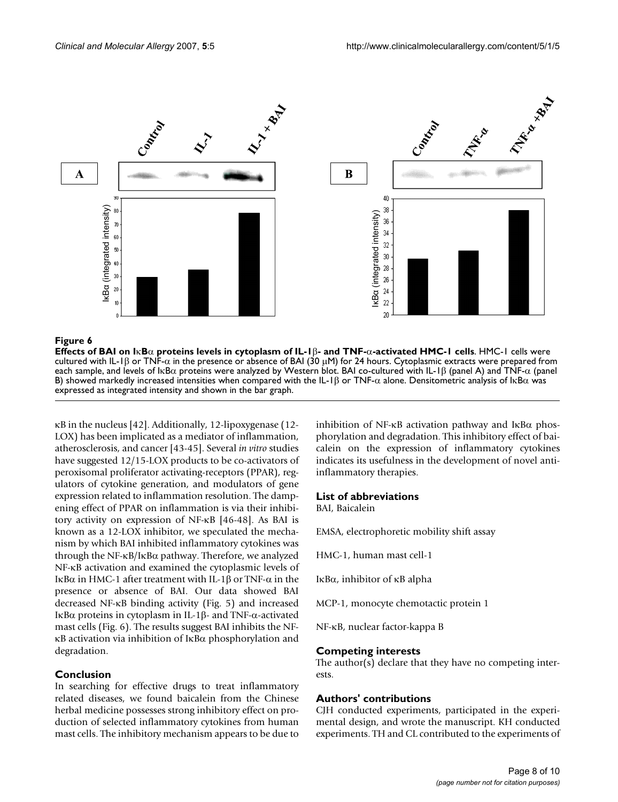

### **Figure 6** NBD proteins levels in cytoplasm of IL-1E- and TNF-D-activated HMC-1 cells in cytoplasm of IL-1E-1E-

**Effects of BAI on I**κ**B** $\alpha$  proteins levels in cytoplasm of IL-1β- and TNF- $\alpha$ -activated HMC-1 cells. HMC-1 cells were cultured with IL-1 $\beta$  or TNF- $\alpha$  in the presence or absence of BAI (30  $\mu$ M) for 24 hours. Cytoplasmic extracts were prepared from each sample, and levels of IKB $\alpha$  proteins were analyzed by Western blot. BAI co-cultured with IL-1 $\beta$  (panel A) and TNF- $\alpha$  (panel B) showed markedly increased intensities when compared with the IL-1 $\beta$  or TNF- $\alpha$  alone. Densitometric analysis of IKB $\alpha$  was expressed as integrated intensity and shown in the bar graph.

 $\kappa$ B in the nucleus [42]. Additionally, 12-lipoxygenase (12-LOX) has been implicated as a mediator of inflammation, atherosclerosis, and cancer [43-45]. Several *in vitro* studies have suggested 12/15-LOX products to be co-activators of peroxisomal proliferator activating-receptors (PPAR), regulators of cytokine generation, and modulators of gene expression related to inflammation resolution. The dampening effect of PPAR on inflammation is via their inhibitory activity on expression of NF-NB [46-48]. As BAI is known as a 12-LOX inhibitor, we speculated the mechanism by which BAI inhibited inflammatory cytokines was through the NF- $\kappa$ B/I $\kappa$ B $\alpha$  pathway. Therefore, we analyzed NF-NB activation and examined the cytoplasmic levels of IκB $α$  in HMC-1 after treatment with IL-1 $β$  or TNF- $α$  in the presence or absence of BAI. Our data showed BAI decreased NF-NB binding activity (Fig. 5) and increased IκB $α$  proteins in cytoplasm in IL-1 $β$ - and TNF- $α$ -activated mast cells (Fig. 6). The results suggest BAI inhibits the NF- $\kappa$ B activation via inhibition of  $I\kappa$ B $\alpha$  phosphorylation and degradation.

# **Conclusion**

In searching for effective drugs to treat inflammatory related diseases, we found baicalein from the Chinese herbal medicine possesses strong inhibitory effect on production of selected inflammatory cytokines from human mast cells. The inhibitory mechanism appears to be due to inhibition of NF- $\kappa$ B activation pathway and I $\kappa$ B $\alpha$  phosphorylation and degradation. This inhibitory effect of baicalein on the expression of inflammatory cytokines indicates its usefulness in the development of novel antiinflammatory therapies.

### **List of abbreviations**

BAI, Baicalein

EMSA, electrophoretic mobility shift assay

HMC-1, human mast cell-1

I $\kappa$ B $\alpha$ , inhibitor of  $\kappa$ B alpha

MCP-1, monocyte chemotactic protein 1

NF-NB, nuclear factor-kappa B

### **Competing interests**

The author(s) declare that they have no competing interests.

# **Authors' contributions**

CJH conducted experiments, participated in the experimental design, and wrote the manuscript. KH conducted experiments. TH and CL contributed to the experiments of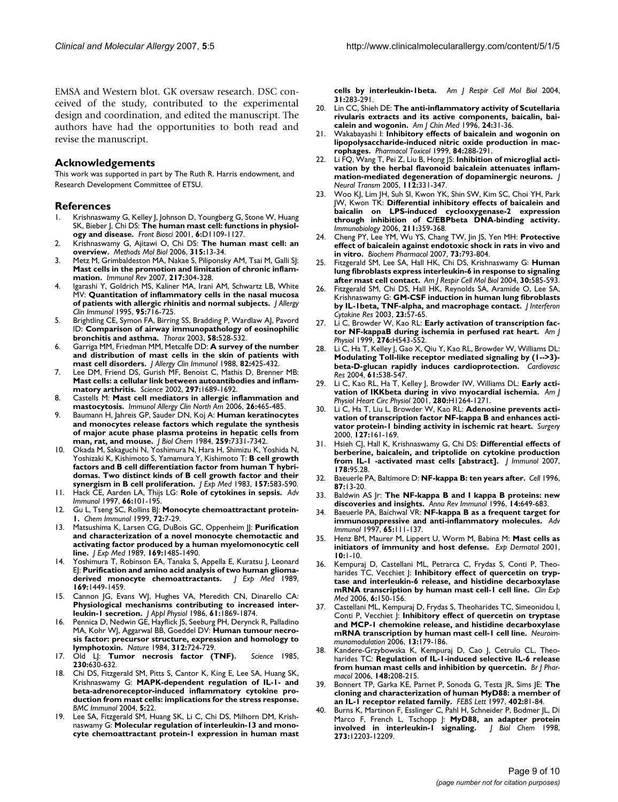EMSA and Western blot. GK oversaw research. DSC conceived of the study, contributed to the experimental design and coordination, and edited the manuscript. The authors have had the opportunities to both read and revise the manuscript.

#### **Acknowledgements**

This work was supported in part by The Ruth R. Harris endowment, and Research Development Committee of ETSU.

#### **References**

- 1. Krishnaswamy G, Kelley J, Johnson D, Youngberg G, Stone W, Huang SK, Bieber J, Chi DS: **The human mast cell: functions in physiology and disease.** *Front Biosci* 2001, **6:**D1109-1127.
- 2. Krishnaswamy G, Ajitawi O, Chi DS: **The human mast cell: an overview.** *Methods Mol Biol* 2006, **315:**13-34.
- 3. Metz M, Grimbaldeston MA, Nakae S, Piliponsky AM, Tsai M, Galli SJ: **Mast cells in the promotion and limitation of chronic inflammation.** *Immunol Rev* 2007, **217:**304-328.
- Igarashi Y, Goldrich MS, Kaliner MA, Irani AM, Schwartz LB, White MV: **Quantitation of inflammatory cells in the nasal mucosa of patients with allergic rhinitis and normal subjects.** *J Allergy Clin Immunol* 1995, **95:**716-725.
- 5. Brightling CE, Symon FA, Birring SS, Bradding P, Wardlaw AJ, Pavord ID: **Comparison of airway immunopathology of eosinophilic bronchitis and asthma.** *Thorax* 2003, **58:**528-532.
- 6. Garriga MM, Friedman MM, Metcalfe DD: **A survey of the number and distribution of mast cells in the skin of patients with mast cell disorders.** *J Allergy Clin Immunol* 1988, **82:**425-432.
- 7. Lee DM, Friend DS, Gurish MF, Benoist C, Mathis D, Brenner MB: **Mast cells: a cellular link between autoantibodies and inflammatory arthritis.** *Science* 2002, **297:**1689-1692.
- 8. Castells M: **Mast cell mediators in allergic inflammation and mastocytosis.** *Immunol Allergy Clin North Am* 2006, **26:**465-485.
- 9. Baumann H, Jahreis GP, Sauder DN, Koj A: **Human keratinocytes and monocytes release factors which regulate the synthesis of major acute phase plasma proteins in hepatic cells from man, rat, and mouse.** *J Biol Chem* 1984, **259:**7331-7342.
- 10. Okada M, Sakaguchi N, Yoshimura N, Hara H, Shimizu K, Yoshida N, Yoshizaki K, Kishimoto S, Yamamura Y, Kishimoto T: **B cell growth factors and B cell differentiation factor from human T hybridomas. Two distinct kinds of B cell growth factor and their synergism in B cell proliferation.** *J Exp Med* 1983, **157:**583-590.
- 11. Hack CE, Aarden LA, Thijs LG: **Role of cytokines in sepsis.** *Adv Immunol* 1997, **66:**101-195.
- 12. Gu L, Tseng SC, Rollins BJ: **Monocyte chemoattractant protein-1.** *Chem Immunol* 1999, **72:**7-29.
- 13. Matsushima K, Larsen CG, DuBois GC, Oppenheim JJ: **Purification and characterization of a novel monocyte chemotactic and activating factor produced by a human myelomonocytic cell line.** *J Exp Med* 1989, **169:**1485-1490.
- Yoshimura T, Robinson EA, Tanaka S, Appella E, Kuratsu J, Leonard EJ: **Purification and amino acid analysis of two human gliomaderived monocyte chemoattractants.** *J Exp Med* 1989, **169:**1449-1459.
- 15. Cannon JG, Evans WJ, Hughes VA, Meredith CN, Dinarello CA: **Physiological mechanisms contributing to increased interleukin-1 secretion.** *J Appl Physiol* 1986, **61:**1869-1874.
- 16. Pennica D, Nedwin GE, Hayflick JS, Seeburg PH, Derynck R, Palladino MA, Kohr WJ, Aggarwal BB, Goeddel DV: **Human tumour necrosis factor: precursor structure, expression and homology to lymphotoxin.** *Nature* 1984, **312:**724-729.
- 17. Old LJ: **Tumor necrosis factor (TNF).** *Science* 1985, **230:**630-632.
- 18. Chi DS, Fitzgerald SM, Pitts S, Cantor K, King E, Lee SA, Huang SK, Krishnaswamy G: **MAPK-dependent regulation of IL-1- and beta-adrenoreceptor-induced inflammatory cytokine production from mast cells: implications for the stress response.** *BMC Immunol* 2004, **5:**22.
- 19. Lee SA, Fitzgerald SM, Huang SK, Li C, Chi DS, Milhorn DM, Krishnaswamy G: **Molecular regulation of interleukin-13 and monocyte chemoattractant protein-1 expression in human mast**

**cells by interleukin-1beta.** *Am J Respir Cell Mol Biol* 2004, **31:**283-291.

- 20. Lin CC, Shieh DE: **The anti-inflammatory activity of Scutellaria rivularis extracts and its active components, baicalin, baicalein and wogonin.** *Am J Chin Med* 1996, **24:**31-36.
- 21. Wakabayashi I: **Inhibitory effects of baicalein and wogonin on lipopolysaccharide-induced nitric oxide production in macrophages.** *Pharmacol Toxicol* 1999, **84:**288-291.
- 22. Li FQ, Wang T, Pei Z, Liu B, Hong JS: **Inhibition of microglial activation by the herbal flavonoid baicalein attenuates inflammation-mediated degeneration of dopaminergic neurons.** *J Neural Transm* 2005, **112:**331-347.
- 23. Woo KJ, Lim JH, Suh SI, Kwon YK, Shin SW, Kim SC, Choi YH, Park JW, Kwon TK: **Differential inhibitory effects of baicalein and baicalin on LPS-induced cyclooxygenase-2 expression through inhibition of C/EBPbeta DNA-binding activity.** *Immunobiology* 2006, **211:**359-368.
- 24. Cheng PY, Lee YM, Wu YS, Chang TW, Jin JS, Yen MH: **Protective effect of baicalein against endotoxic shock in rats in vivo and in vitro.** *Biochem Pharmacol* 2007, **73:**793-804.
- 25. Fitzgerald SM, Lee SA, Hall HK, Chi DS, Krishnaswamy G: **Human lung fibroblasts express interleukin-6 in response to signaling after mast cell contact.** *Am J Respir Cell Mol Biol* 2004, **30:**585-593.
- 26. Fitzgerald SM, Chi DS, Hall HK, Reynolds SA, Aramide O, Lee SA, Krishnaswamy G: **GM-CSF induction in human lung fibroblasts by IL-1beta, TNF-alpha, and macrophage contact.** *J Interferon Cytokine Res* 2003, **23:**57-65.
- 27. Li C, Browder W, Kao RL: **Early activation of transcription factor NF-kappaB during ischemia in perfused rat heart.** *Am J Physiol* 1999, **276:**H543-552.
- 28. Li C, Ha T, Kelley J, Gao X, Qiu Y, Kao RL, Browder W, Williams DL: **Modulating Toll-like receptor mediated signaling by (1-->3) beta-D-glucan rapidly induces cardioprotection.** *Cardiovasc Res* 2004, **61:**538-547.
- 29. Li C, Kao RL, Ha T, Kelley J, Browder IW, Williams DL: **Early activation of IKKbeta during in vivo myocardial ischemia.** *Am J Physiol Heart Circ Physiol* 2001, **280:**H1264-1271.
- 30. Li C, Ha T, Liu L, Browder W, Kao RL: **Adenosine prevents activation of transcription factor NF-kappa B and enhances activator protein-1 binding activity in ischemic rat heart.** *Surgery* 2000, **127:**161-169.
- 31. Hsieh CJ, Hall K, Krishnaswamy G, Chi DS: **Differential effects of berberine, baicalein, and triptolide on cytokine production from IL-1 -activated mast cells [abstract].** *J Immunol* 2007, **178:**95.28.
- 32. Baeuerle PA, Baltimore D: **NF-kappa B: ten years after.** *Cell* 1996, **87:**13-20.
- 33. Baldwin AS Jr: **The NF-kappa B and I kappa B proteins: new discoveries and insights.** *Annu Rev Immunol* 1996, **14:**649-683.
- 34. Baeuerle PA, Baichwal VR: **NF-kappa B as a frequent target for immunosuppressive and anti-inflammatory molecules.** *Adv Immunol* 1997, **65:**111-137.
- 35. Henz BM, Maurer M, Lippert U, Worm M, Babina M: **Mast cells as initiators of immunity and host defense.** *Exp Dermatol* 2001, **10:**1-10.
- 36. Kempuraj D, Castellani ML, Petrarca C, Frydas S, Conti P, Theoharides TC, Vecchiet J: **Inhibitory effect of quercetin on tryptase and interleukin-6 release, and histidine decarboxylase mRNA transcription by human mast cell-1 cell line.** *Clin Exp Med* 2006, **6:**150-156.
- 37. Castellani ML, Kempuraj D, Frydas S, Theoharides TC, Simeonidou I, Conti P, Vecchiet J: **Inhibitory effect of quercetin on tryptase and MCP-1 chemokine release, and histidine decarboxylase mRNA transcription by human mast cell-1 cell line.** *Neuroimmunomodulation* 2006, **13:**179-186.
- 38. Kandere-Grzybowska K, Kempuraj D, Cao J, Cetrulo CL, Theoharides TC: **Regulation of IL-1-induced selective IL-6 release from human mast cells and inhibition by quercetin.** *Br J Pharmacol* 2006, **148:**208-215.
- 39. Bonnert TP, Garka KE, Parnet P, Sonoda G, Testa JR, Sims JE: **The cloning and characterization of human MyD88: a member of an IL-1 receptor related family.** *FEBS Lett* 1997, **402:**81-84.
- Burns K, Martinon F, Esslinger C, Pahl H, Schneider P, Bodmer JL, Di Marco F, French L, Tschopp J: **MyD88, an adapter protein**<br>involved in interleukin-1 signaling. J Biol Chem 1998, involved in interleukin-1 signaling. **273:**12203-12209.